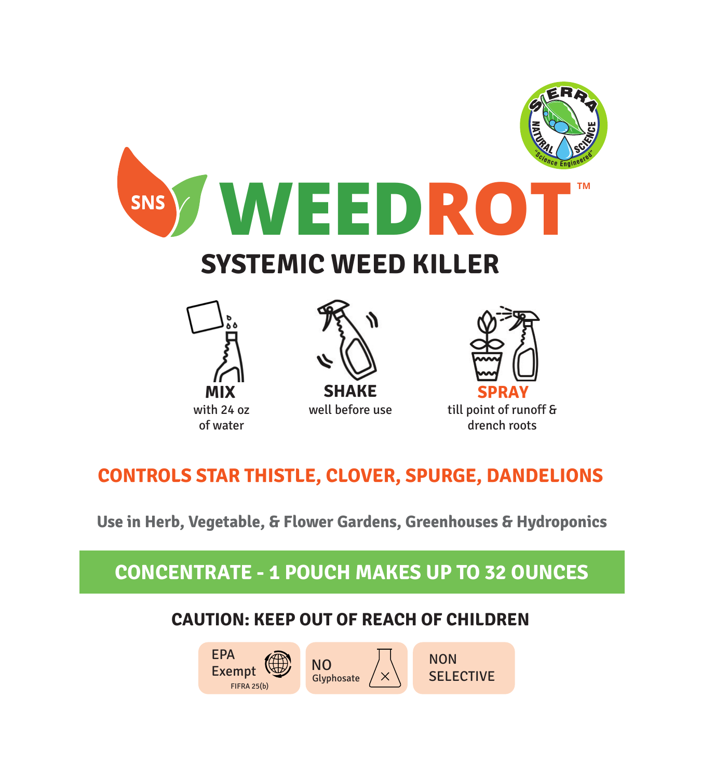

# **CONTROLS STAR THISTLE, CLOVER, SPURGE, DANDELIONS**

**Use in Herb, Vegetable, & Flower Gardens, Greenhouses & Hydroponics**

# **CONCENTRATE - 1 POUCH MAKES UP TO 32 OUNCES**

## **CAUTION: KEEP OUT OF REACH OF CHILDREN**